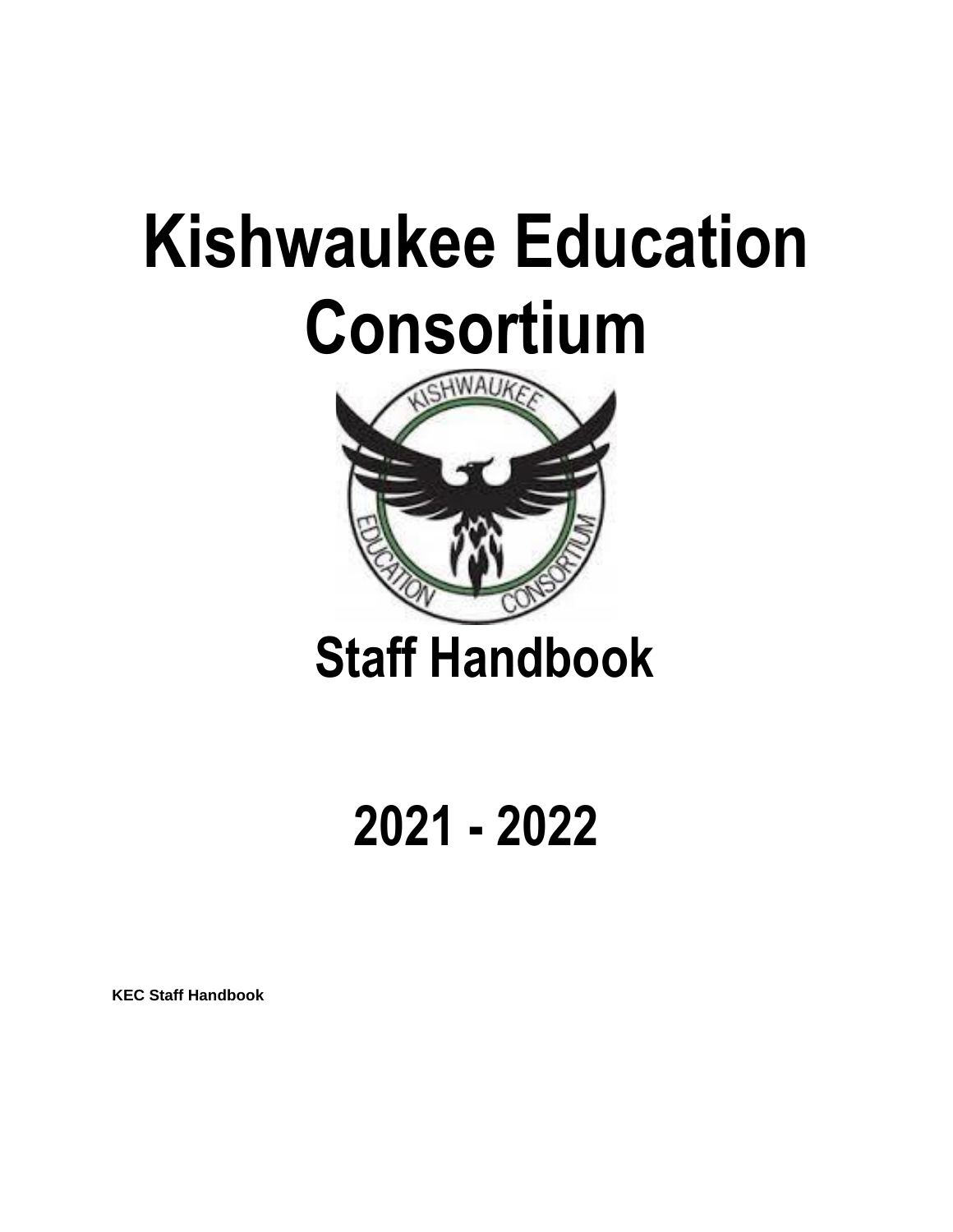# **Kishwaukee Education Consortium**



**2021 - 2022**

**KEC Staff Handbook**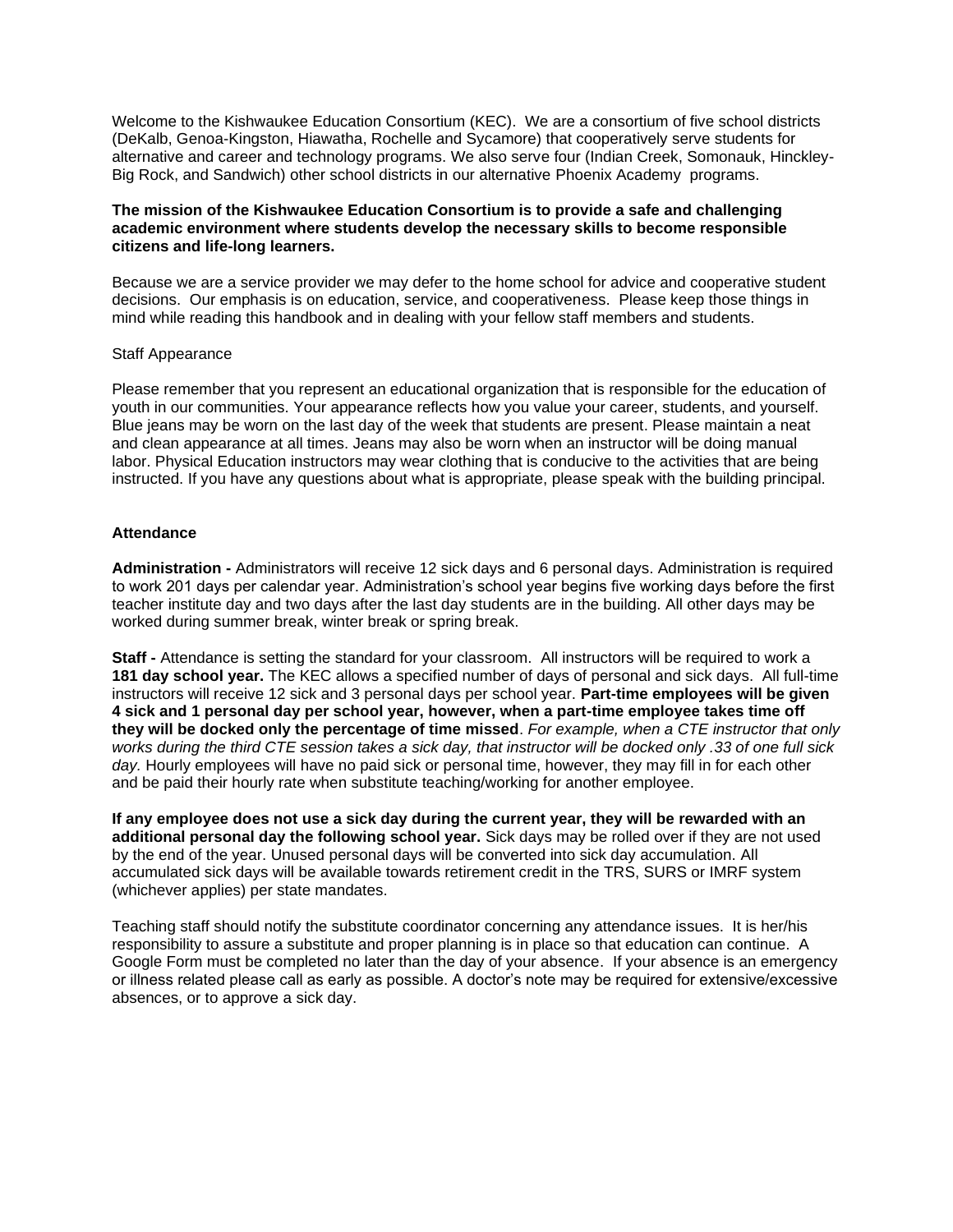Welcome to the Kishwaukee Education Consortium (KEC). We are a consortium of five school districts (DeKalb, Genoa-Kingston, Hiawatha, Rochelle and Sycamore) that cooperatively serve students for alternative and career and technology programs. We also serve four (Indian Creek, Somonauk, Hinckley-Big Rock, and Sandwich) other school districts in our alternative Phoenix Academy programs.

# **The mission of the Kishwaukee Education Consortium is to provide a safe and challenging academic environment where students develop the necessary skills to become responsible citizens and life-long learners.**

Because we are a service provider we may defer to the home school for advice and cooperative student decisions. Our emphasis is on education, service, and cooperativeness. Please keep those things in mind while reading this handbook and in dealing with your fellow staff members and students.

## Staff Appearance

Please remember that you represent an educational organization that is responsible for the education of youth in our communities. Your appearance reflects how you value your career, students, and yourself. Blue jeans may be worn on the last day of the week that students are present. Please maintain a neat and clean appearance at all times. Jeans may also be worn when an instructor will be doing manual labor. Physical Education instructors may wear clothing that is conducive to the activities that are being instructed. If you have any questions about what is appropriate, please speak with the building principal.

## **Attendance**

**Administration -** Administrators will receive 12 sick days and 6 personal days. Administration is required to work 201 days per calendar year. Administration's school year begins five working days before the first teacher institute day and two days after the last day students are in the building. All other days may be worked during summer break, winter break or spring break.

**Staff -** Attendance is setting the standard for your classroom. All instructors will be required to work a **181 day school year.** The KEC allows a specified number of days of personal and sick days. All full-time instructors will receive 12 sick and 3 personal days per school year. **Part-time employees will be given 4 sick and 1 personal day per school year, however, when a part-time employee takes time off they will be docked only the percentage of time missed**. *For example, when a CTE instructor that only works during the third CTE session takes a sick day, that instructor will be docked only .33 of one full sick*  day. Hourly employees will have no paid sick or personal time, however, they may fill in for each other and be paid their hourly rate when substitute teaching/working for another employee.

**If any employee does not use a sick day during the current year, they will be rewarded with an additional personal day the following school year.** Sick days may be rolled over if they are not used by the end of the year. Unused personal days will be converted into sick day accumulation. All accumulated sick days will be available towards retirement credit in the TRS, SURS or IMRF system (whichever applies) per state mandates.

Teaching staff should notify the substitute coordinator concerning any attendance issues. It is her/his responsibility to assure a substitute and proper planning is in place so that education can continue. A Google Form must be completed no later than the day of your absence. If your absence is an emergency or illness related please call as early as possible. A doctor's note may be required for extensive/excessive absences, or to approve a sick day.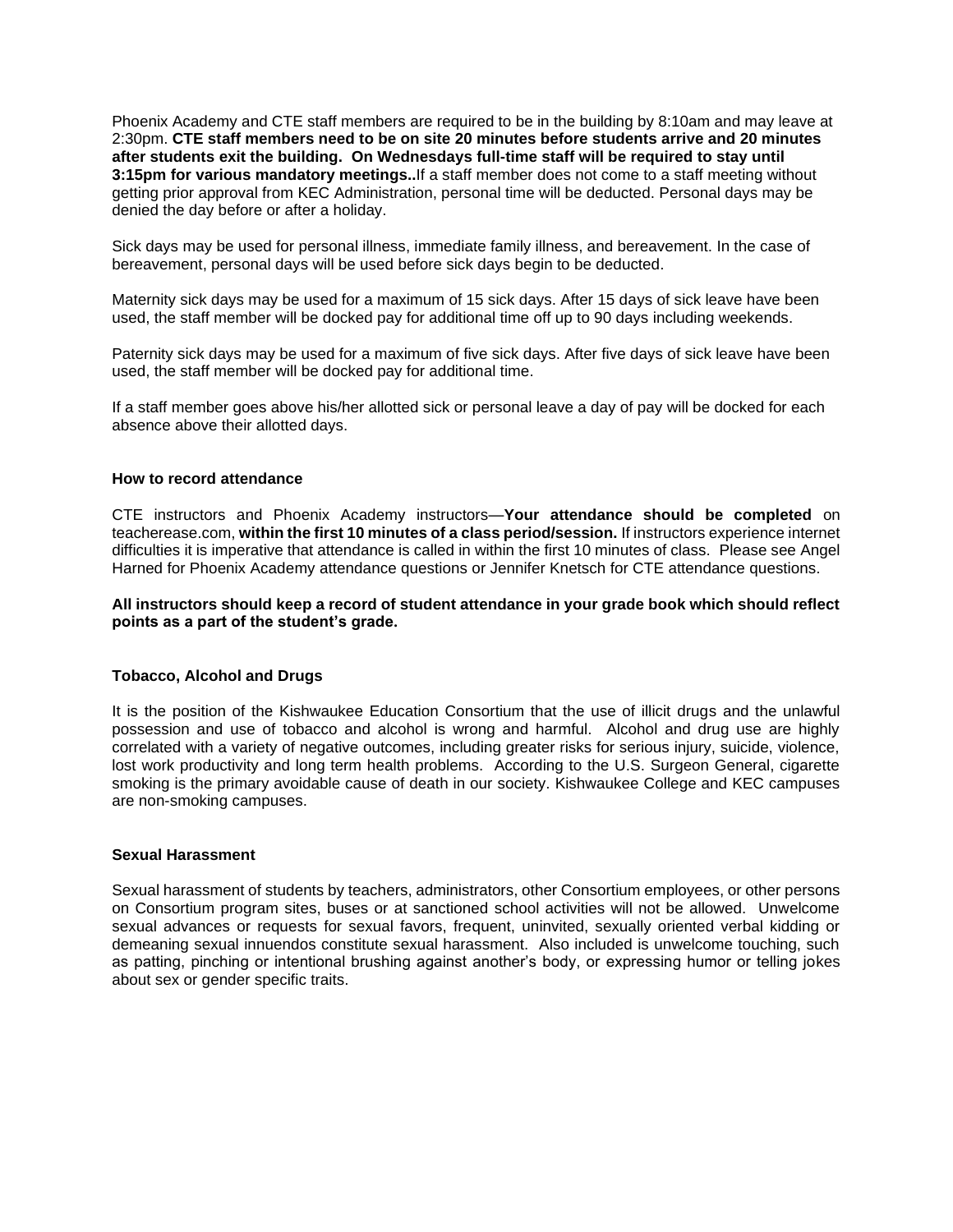Phoenix Academy and CTE staff members are required to be in the building by 8:10am and may leave at 2:30pm. **CTE staff members need to be on site 20 minutes before students arrive and 20 minutes after students exit the building. On Wednesdays full-time staff will be required to stay until 3:15pm for various mandatory meetings..**If a staff member does not come to a staff meeting without getting prior approval from KEC Administration, personal time will be deducted. Personal days may be denied the day before or after a holiday.

Sick days may be used for personal illness, immediate family illness, and bereavement. In the case of bereavement, personal days will be used before sick days begin to be deducted.

Maternity sick days may be used for a maximum of 15 sick days. After 15 days of sick leave have been used, the staff member will be docked pay for additional time off up to 90 days including weekends.

Paternity sick days may be used for a maximum of five sick days. After five days of sick leave have been used, the staff member will be docked pay for additional time.

If a staff member goes above his/her allotted sick or personal leave a day of pay will be docked for each absence above their allotted days.

# **How to record attendance**

CTE instructors and Phoenix Academy instructors—**Your attendance should be completed** on teacherease.com, **within the first 10 minutes of a class period/session.** If instructors experience internet difficulties it is imperative that attendance is called in within the first 10 minutes of class. Please see Angel Harned for Phoenix Academy attendance questions or Jennifer Knetsch for CTE attendance questions.

# **All instructors should keep a record of student attendance in your grade book which should reflect points as a part of the student's grade.**

### **Tobacco, Alcohol and Drugs**

It is the position of the Kishwaukee Education Consortium that the use of illicit drugs and the unlawful possession and use of tobacco and alcohol is wrong and harmful. Alcohol and drug use are highly correlated with a variety of negative outcomes, including greater risks for serious injury, suicide, violence, lost work productivity and long term health problems. According to the U.S. Surgeon General, cigarette smoking is the primary avoidable cause of death in our society. Kishwaukee College and KEC campuses are non-smoking campuses.

#### **Sexual Harassment**

Sexual harassment of students by teachers, administrators, other Consortium employees, or other persons on Consortium program sites, buses or at sanctioned school activities will not be allowed. Unwelcome sexual advances or requests for sexual favors, frequent, uninvited, sexually oriented verbal kidding or demeaning sexual innuendos constitute sexual harassment. Also included is unwelcome touching, such as patting, pinching or intentional brushing against another's body, or expressing humor or telling jokes about sex or gender specific traits.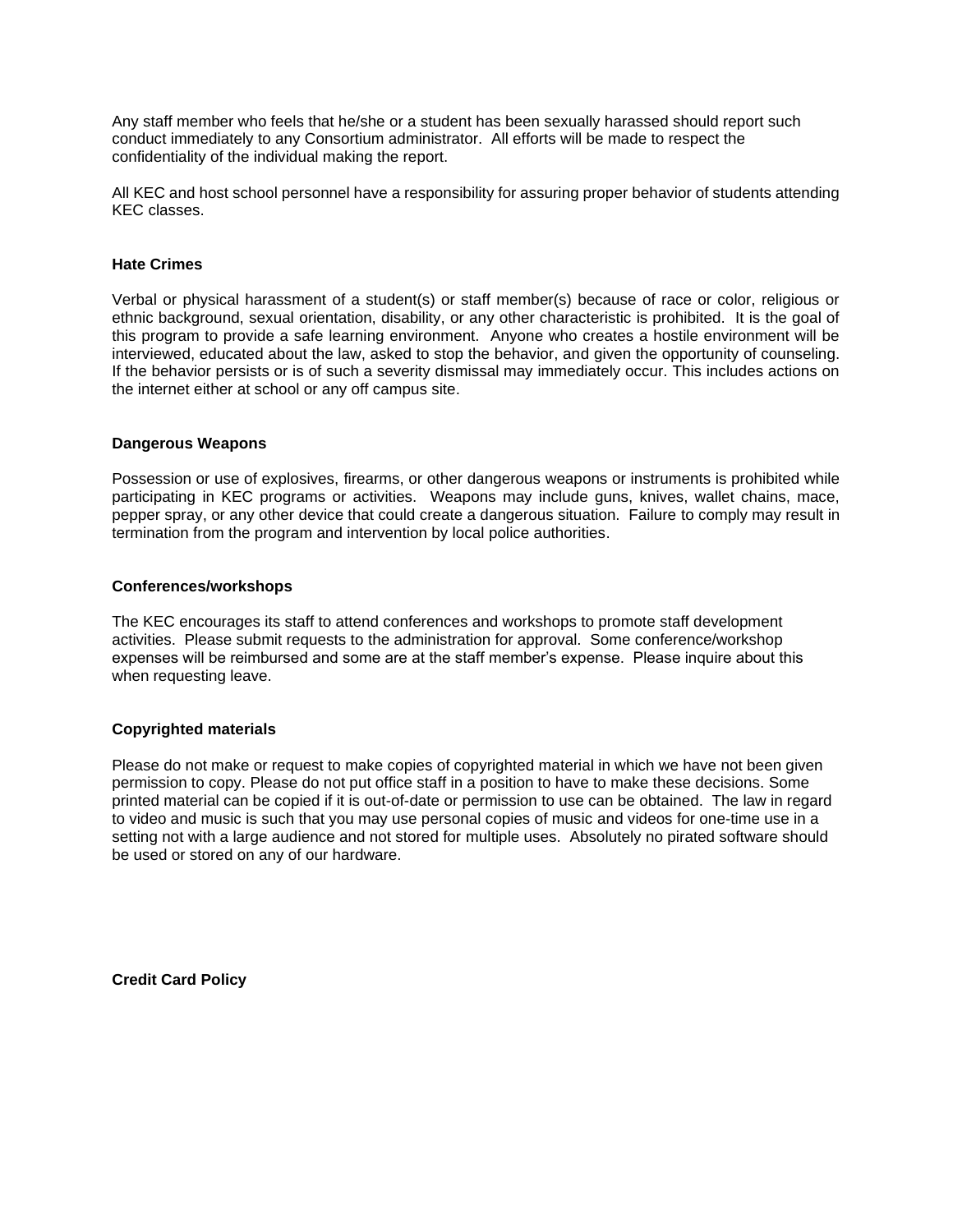Any staff member who feels that he/she or a student has been sexually harassed should report such conduct immediately to any Consortium administrator. All efforts will be made to respect the confidentiality of the individual making the report.

All KEC and host school personnel have a responsibility for assuring proper behavior of students attending KEC classes.

## **Hate Crimes**

Verbal or physical harassment of a student(s) or staff member(s) because of race or color, religious or ethnic background, sexual orientation, disability, or any other characteristic is prohibited. It is the goal of this program to provide a safe learning environment. Anyone who creates a hostile environment will be interviewed, educated about the law, asked to stop the behavior, and given the opportunity of counseling. If the behavior persists or is of such a severity dismissal may immediately occur. This includes actions on the internet either at school or any off campus site.

## **Dangerous Weapons**

Possession or use of explosives, firearms, or other dangerous weapons or instruments is prohibited while participating in KEC programs or activities. Weapons may include guns, knives, wallet chains, mace, pepper spray, or any other device that could create a dangerous situation. Failure to comply may result in termination from the program and intervention by local police authorities.

## **Conferences/workshops**

The KEC encourages its staff to attend conferences and workshops to promote staff development activities. Please submit requests to the administration for approval. Some conference/workshop expenses will be reimbursed and some are at the staff member's expense. Please inquire about this when requesting leave.

# **Copyrighted materials**

Please do not make or request to make copies of copyrighted material in which we have not been given permission to copy. Please do not put office staff in a position to have to make these decisions. Some printed material can be copied if it is out-of-date or permission to use can be obtained. The law in regard to video and music is such that you may use personal copies of music and videos for one-time use in a setting not with a large audience and not stored for multiple uses. Absolutely no pirated software should be used or stored on any of our hardware.

**Credit Card Policy**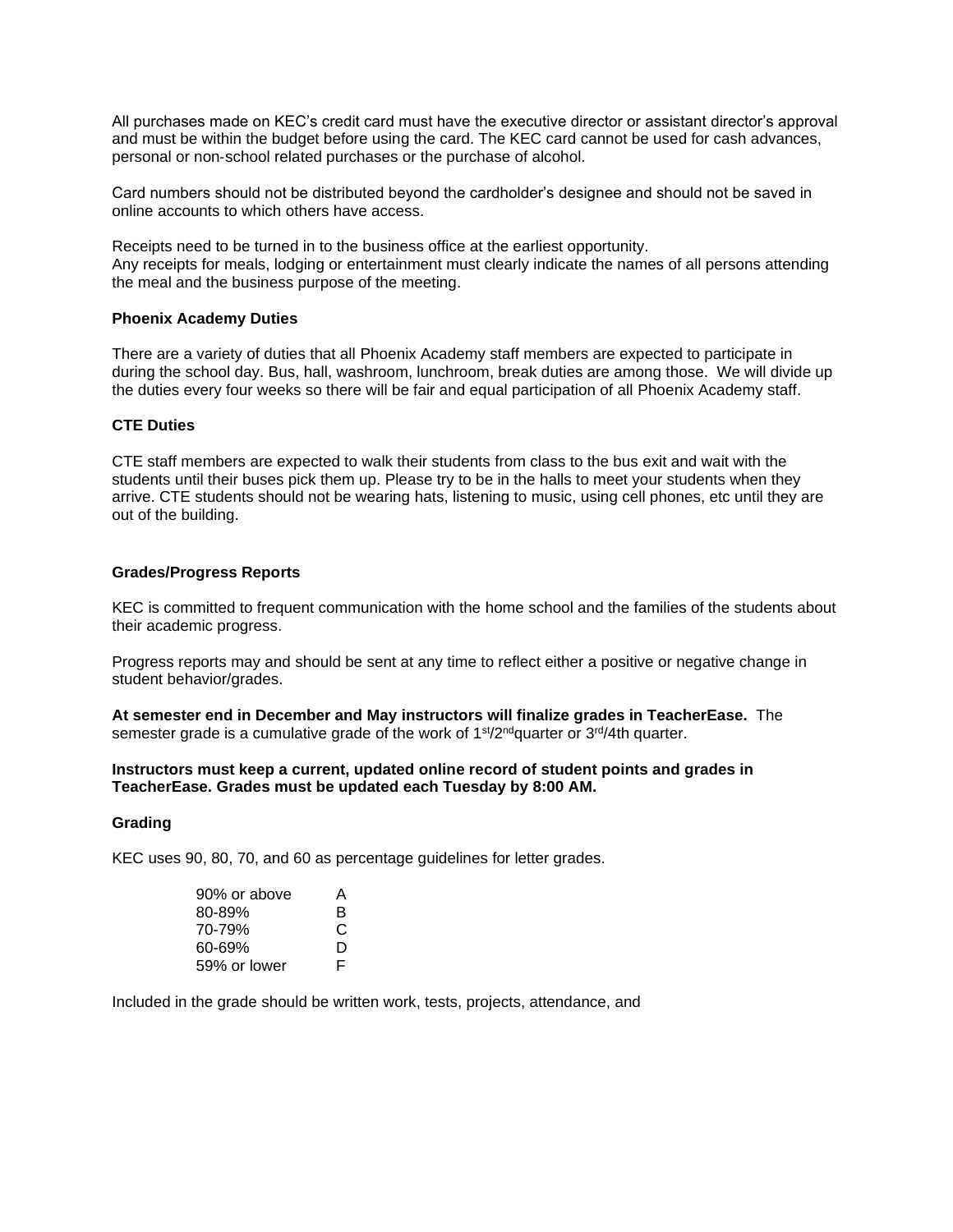All purchases made on KEC's credit card must have the executive director or assistant director's approval and must be within the budget before using the card. The KEC card cannot be used for cash advances, personal or non‐school related purchases or the purchase of alcohol.

Card numbers should not be distributed beyond the cardholder's designee and should not be saved in online accounts to which others have access.

Receipts need to be turned in to the business office at the earliest opportunity. Any receipts for meals, lodging or entertainment must clearly indicate the names of all persons attending the meal and the business purpose of the meeting.

## **Phoenix Academy Duties**

There are a variety of duties that all Phoenix Academy staff members are expected to participate in during the school day. Bus, hall, washroom, lunchroom, break duties are among those. We will divide up the duties every four weeks so there will be fair and equal participation of all Phoenix Academy staff.

## **CTE Duties**

CTE staff members are expected to walk their students from class to the bus exit and wait with the students until their buses pick them up. Please try to be in the halls to meet your students when they arrive. CTE students should not be wearing hats, listening to music, using cell phones, etc until they are out of the building.

## **Grades/Progress Reports**

KEC is committed to frequent communication with the home school and the families of the students about their academic progress.

Progress reports may and should be sent at any time to reflect either a positive or negative change in student behavior/grades.

**At semester end in December and May instructors will finalize grades in TeacherEase.** The semester grade is a cumulative grade of the work of 1<sup>st</sup>/2<sup>nd</sup>quarter or 3<sup>rd</sup>/4th quarter.

# **Instructors must keep a current, updated online record of student points and grades in TeacherEase. Grades must be updated each Tuesday by 8:00 AM.**

#### **Grading**

KEC uses 90, 80, 70, and 60 as percentage guidelines for letter grades.

| 90% or above | А  |
|--------------|----|
| 80-89%       | в  |
| 70-79%       | С  |
| 60-69%       | D  |
| 59% or lower | F. |

Included in the grade should be written work, tests, projects, attendance, and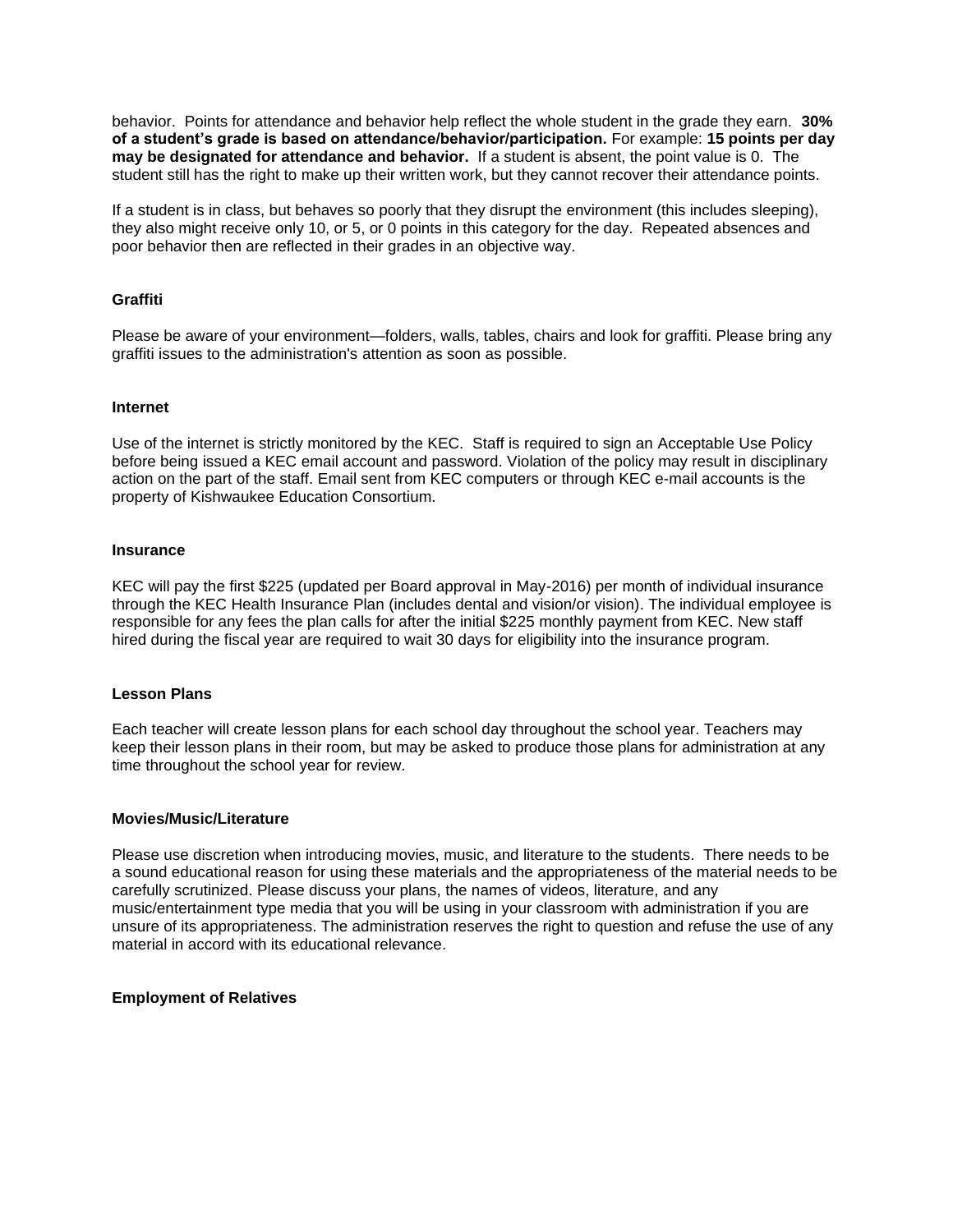behavior. Points for attendance and behavior help reflect the whole student in the grade they earn. **30% of a student's grade is based on attendance/behavior/participation.** For example: **15 points per day may be designated for attendance and behavior.** If a student is absent, the point value is 0. The student still has the right to make up their written work, but they cannot recover their attendance points.

If a student is in class, but behaves so poorly that they disrupt the environment (this includes sleeping), they also might receive only 10, or 5, or 0 points in this category for the day. Repeated absences and poor behavior then are reflected in their grades in an objective way.

# **Graffiti**

Please be aware of your environment—folders, walls, tables, chairs and look for graffiti. Please bring any graffiti issues to the administration's attention as soon as possible.

## **Internet**

Use of the internet is strictly monitored by the KEC. Staff is required to sign an Acceptable Use Policy before being issued a KEC email account and password. Violation of the policy may result in disciplinary action on the part of the staff. Email sent from KEC computers or through KEC e-mail accounts is the property of Kishwaukee Education Consortium.

## **Insurance**

KEC will pay the first \$225 (updated per Board approval in May-2016) per month of individual insurance through the KEC Health Insurance Plan (includes dental and vision/or vision). The individual employee is responsible for any fees the plan calls for after the initial \$225 monthly payment from KEC. New staff hired during the fiscal year are required to wait 30 days for eligibility into the insurance program.

#### **Lesson Plans**

Each teacher will create lesson plans for each school day throughout the school year. Teachers may keep their lesson plans in their room, but may be asked to produce those plans for administration at any time throughout the school year for review.

#### **Movies/Music/Literature**

Please use discretion when introducing movies, music, and literature to the students. There needs to be a sound educational reason for using these materials and the appropriateness of the material needs to be carefully scrutinized. Please discuss your plans, the names of videos, literature, and any music/entertainment type media that you will be using in your classroom with administration if you are unsure of its appropriateness. The administration reserves the right to question and refuse the use of any material in accord with its educational relevance.

# **Employment of Relatives**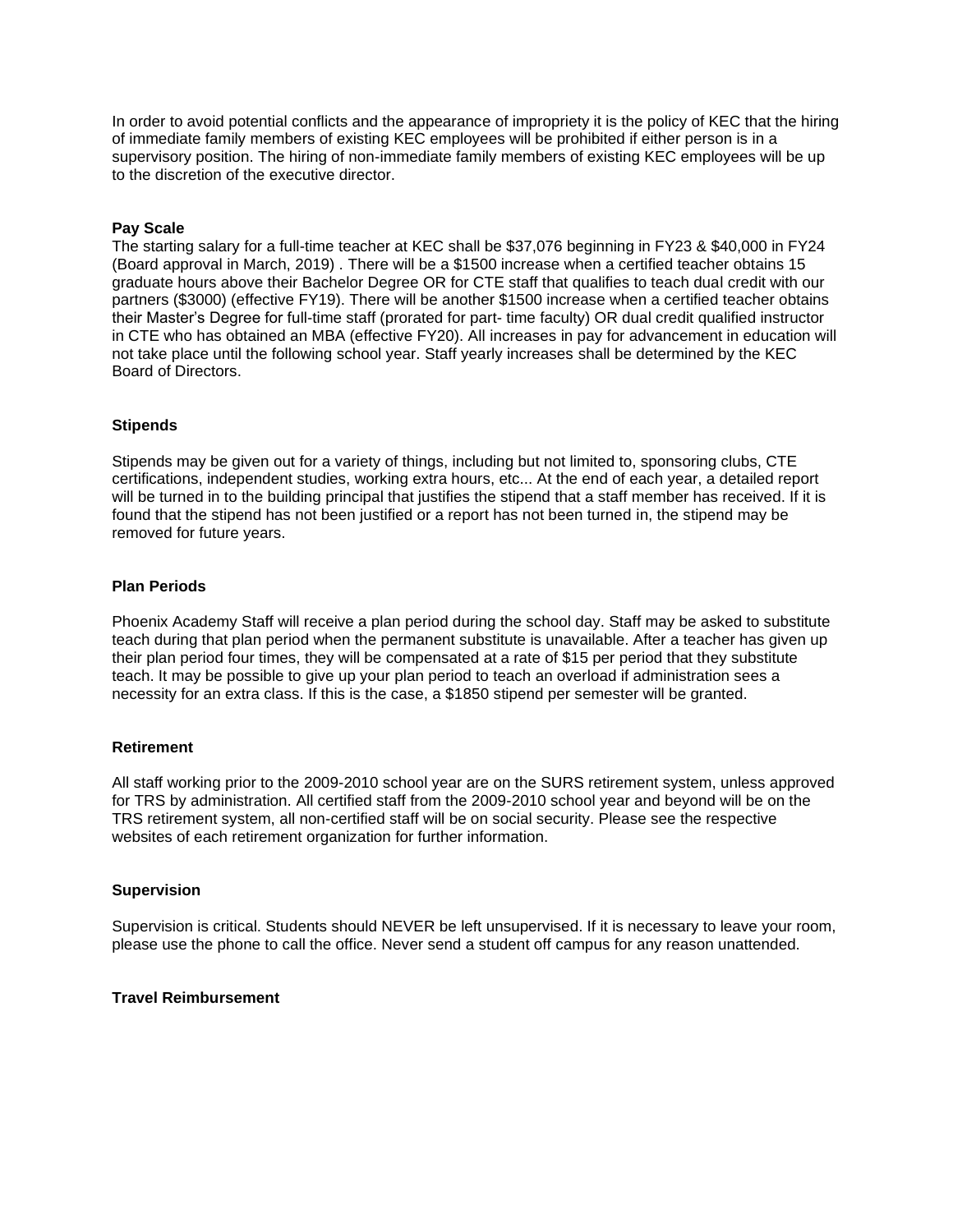In order to avoid potential conflicts and the appearance of impropriety it is the policy of KEC that the hiring of immediate family members of existing KEC employees will be prohibited if either person is in a supervisory position. The hiring of non-immediate family members of existing KEC employees will be up to the discretion of the executive director.

# **Pay Scale**

The starting salary for a full-time teacher at KEC shall be \$37,076 beginning in FY23 & \$40,000 in FY24 (Board approval in March, 2019) . There will be a \$1500 increase when a certified teacher obtains 15 graduate hours above their Bachelor Degree OR for CTE staff that qualifies to teach dual credit with our partners (\$3000) (effective FY19). There will be another \$1500 increase when a certified teacher obtains their Master's Degree for full-time staff (prorated for part- time faculty) OR dual credit qualified instructor in CTE who has obtained an MBA (effective FY20). All increases in pay for advancement in education will not take place until the following school year. Staff yearly increases shall be determined by the KEC Board of Directors.

# **Stipends**

Stipends may be given out for a variety of things, including but not limited to, sponsoring clubs, CTE certifications, independent studies, working extra hours, etc... At the end of each year, a detailed report will be turned in to the building principal that justifies the stipend that a staff member has received. If it is found that the stipend has not been justified or a report has not been turned in, the stipend may be removed for future years.

# **Plan Periods**

Phoenix Academy Staff will receive a plan period during the school day. Staff may be asked to substitute teach during that plan period when the permanent substitute is unavailable. After a teacher has given up their plan period four times, they will be compensated at a rate of \$15 per period that they substitute teach. It may be possible to give up your plan period to teach an overload if administration sees a necessity for an extra class. If this is the case, a \$1850 stipend per semester will be granted.

# **Retirement**

All staff working prior to the 2009-2010 school year are on the SURS retirement system, unless approved for TRS by administration. All certified staff from the 2009-2010 school year and beyond will be on the TRS retirement system, all non-certified staff will be on social security. Please see the respective websites of each retirement organization for further information.

# **Supervision**

Supervision is critical. Students should NEVER be left unsupervised. If it is necessary to leave your room, please use the phone to call the office. Never send a student off campus for any reason unattended.

# **Travel Reimbursement**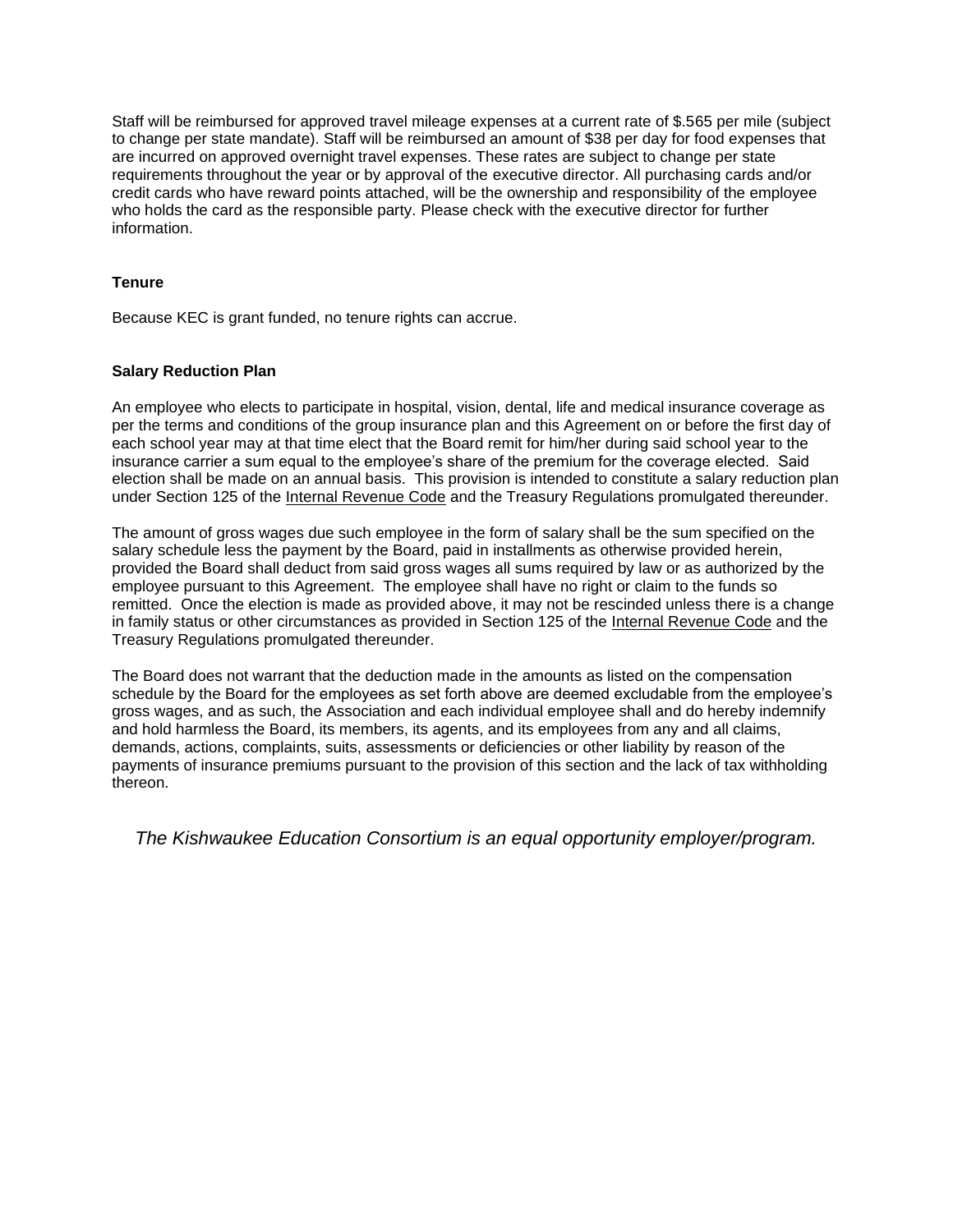Staff will be reimbursed for approved travel mileage expenses at a current rate of \$.565 per mile (subject to change per state mandate). Staff will be reimbursed an amount of \$38 per day for food expenses that are incurred on approved overnight travel expenses. These rates are subject to change per state requirements throughout the year or by approval of the executive director. All purchasing cards and/or credit cards who have reward points attached, will be the ownership and responsibility of the employee who holds the card as the responsible party. Please check with the executive director for further information.

# **Tenure**

Because KEC is grant funded, no tenure rights can accrue.

# **Salary Reduction Plan**

An employee who elects to participate in hospital, vision, dental, life and medical insurance coverage as per the terms and conditions of the group insurance plan and this Agreement on or before the first day of each school year may at that time elect that the Board remit for him/her during said school year to the insurance carrier a sum equal to the employee's share of the premium for the coverage elected. Said election shall be made on an annual basis. This provision is intended to constitute a salary reduction plan under Section 125 of the Internal Revenue Code and the Treasury Regulations promulgated thereunder.

The amount of gross wages due such employee in the form of salary shall be the sum specified on the salary schedule less the payment by the Board, paid in installments as otherwise provided herein, provided the Board shall deduct from said gross wages all sums required by law or as authorized by the employee pursuant to this Agreement. The employee shall have no right or claim to the funds so remitted. Once the election is made as provided above, it may not be rescinded unless there is a change in family status or other circumstances as provided in Section 125 of the Internal Revenue Code and the Treasury Regulations promulgated thereunder.

The Board does not warrant that the deduction made in the amounts as listed on the compensation schedule by the Board for the employees as set forth above are deemed excludable from the employee's gross wages, and as such, the Association and each individual employee shall and do hereby indemnify and hold harmless the Board, its members, its agents, and its employees from any and all claims, demands, actions, complaints, suits, assessments or deficiencies or other liability by reason of the payments of insurance premiums pursuant to the provision of this section and the lack of tax withholding thereon.

*The Kishwaukee Education Consortium is an equal opportunity employer/program.*